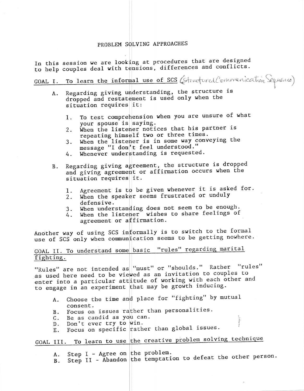## PROBLEM SOLVING APPROACHES

In this session we are looking at procedures that are designed to help couples deal with tensions, differences and conflicts.

GOAL I. To learn the informal use of SCS (Structured Commenication Sequence)

- Regarding giving understanding, the structure is A. dropped and restatement is used only when the situation requires it:
	- To test comprehension when you are unsure of what 1. your spouse is saying.
	- When the listener notices that his partner is 2. repeating himself two or three times.
	- When the listener is in some way conveying the  $3.$ message "I don't feel understood."
	- Whenever understanding is requested. 4.
- Regarding giving agreement, the structure is dropped **B**. and giving agreement or affirmation occurs when the situation requires it.
	- Agreement is to be given whenever it is asked for. 1.
	- When the speaker seems frustrated or unduly 2. defensive.
	- When understanding does not seem to be enough.  $3.$
	- When the listener wishes to share feelings of 4. agreement or affirmation.

Another way of using SCS informally is to switch to the formal use of SCS only when communication seems to be getting nowhere.

## GOAL II. To understand some basic "rules" regarding marital fighting.

"Rules" are not intended as "must" or "shoulds." Rather "rules" as used here need to be viewed as an invitation to couples to enter into a particular attitude of working with each other and to engage in an experiment that may be growth inducing.

- Choose the time and place for "fighting" by mutual A. consent.
- B. Focus on issues rather than personalities.
- C. Be as candid as you can.
- D. Don't ever try to win.
- E. Focus on specific rather than global issues.

## GOAL III. To learn to use the creative problem solving technique

Step I - Agree on the problem. A.

Step II - Abandon the temptation to defeat the other person. **B.**